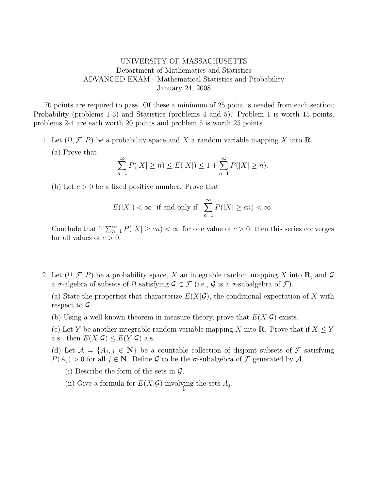## UNIVERSITY OF MASSACHUSETTS Department of Mathematics and Statistics ADVANCED EXAM - Mathematical Statistics and Probability January 24, 2008

70 points are required to pass. Of these a minimum of 25 point is needed from each section; Probability (problems 1-3) and Statistics (problems 4 and 5). Problem 1 is worth 15 points, problems 2-4 are each worth 20 points and problem 5 is worth 25 points.

- 1. Let  $(\Omega, \mathcal{F}, P)$  be a probability space and X a random variable mapping X into **R**.
	- (a) Prove that

$$
\sum_{n=1}^{\infty} P(|X| \ge n) \le E(|X|) \le 1 + \sum_{n=1}^{\infty} P(|X| \ge n).
$$

(b) Let  $c > 0$  be a fixed positive number. Prove that

$$
E(|X|) < \infty \quad \text{if and only if} \quad \sum_{n=1}^{\infty} P(|X| \ge cn) < \infty.
$$

Conclude that if  $\sum_{n=1}^{\infty} P(|X| \geq cn) < \infty$  for one value of  $c > 0$ , then this series converges for all values of  $c > 0$ .

2. Let  $(\Omega, \mathcal{F}, P)$  be a probability space, X an integrable random mapping X into **R**, and G a  $\sigma$ -algebra of subsets of  $\Omega$  satisfying  $\mathcal{G} \subset \mathcal{F}$  (i.e.,  $\mathcal{G}$  is a  $\sigma$ -subalgebra of  $\mathcal{F}$ ).

(a) State the properties that characterize  $E(X|\mathcal{G})$ , the conditional expectation of X with respect to  $\mathcal{G}$ .

(b) Using a well known theorem in measure theory, prove that  $E(X|\mathcal{G})$  exists.

(c) Let Y be another integrable random variable mapping X into **R**. Prove that if  $X \leq Y$ a.s., then  $E(X|\mathcal{G}) \leq E(Y|\mathcal{G})$  a.s.

(d) Let  $\mathcal{A} = \{A_j, j \in \mathbb{N}\}\$ be a countable collection of disjoint subsets of  $\mathcal F$  satisfying  $P(A_i) > 0$  for all  $j \in \mathbb{N}$ . Define G to be the  $\sigma$ -subalgebra of F generated by A.

(i) Describe the form of the sets in  $\mathcal{G}$ .

(ii) Give a formula for  $E(X|\mathcal{G})$  involving the sets  $A_j$ .  $\vec{1}$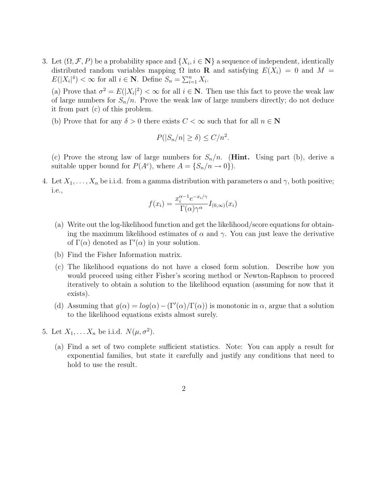3. Let  $(\Omega, \mathcal{F}, P)$  be a probability space and  $\{X_i, i \in \mathbb{N}\}\$ a sequence of independent, identically distributed random variables mapping  $\Omega$  into **R** and satisfying  $E(X_i) = 0$  and  $M =$  $E(|X_i|^4) < \infty$  for all  $i \in \mathbb{N}$ . Define  $S_n = \sum_{i=1}^n X_i$ .

(a) Prove that  $\sigma^2 = E(|X_i|^2) < \infty$  for all  $i \in \mathbb{N}$ . Then use this fact to prove the weak law of large numbers for  $S_n/n$ . Prove the weak law of large numbers directly; do not deduce it from part (c) of this problem.

(b) Prove that for any  $\delta > 0$  there exists  $C < \infty$  such that for all  $n \in \mathbb{N}$ 

$$
P(|S_n/n| \ge \delta) \le C/n^2.
$$

(c) Prove the strong law of large numbers for  $S_n/n$ . (**Hint.** Using part (b), derive a suitable upper bound for  $P(A<sup>c</sup>)$ , where  $A = \{S_n/n \to 0\}$ .

4. Let  $X_1, \ldots, X_n$  be i.i.d. from a gamma distribution with parameters  $\alpha$  and  $\gamma$ , both positive; i.e.,

$$
f(x_i) = \frac{x_i^{\alpha - 1} e^{-x_i/\gamma}}{\Gamma(\alpha)\gamma^{\alpha}} I_{(0,\infty)}(x_i)
$$

- (a) Write out the log-likelihood function and get the likelihood/score equations for obtaining the maximum likelihood estimates of  $\alpha$  and  $\gamma$ . You can just leave the derivative of  $\Gamma(\alpha)$  denoted as  $\Gamma'(\alpha)$  in your solution.
- (b) Find the Fisher Information matrix.
- (c) The likelihood equations do not have a closed form solution. Describe how you would proceed using either Fisher's scoring method or Newton-Raphson to proceed iteratively to obtain a solution to the likelihood equation (assuming for now that it exists).
- (d) Assuming that  $g(\alpha) = log(\alpha) (\Gamma'(\alpha)/\Gamma(\alpha))$  is monotonic in  $\alpha$ , argue that a solution to the likelihood equations exists almost surely.
- 5. Let  $X_1, \ldots X_n$  be i.i.d.  $N(\mu, \sigma^2)$ .
	- (a) Find a set of two complete sufficient statistics. Note: You can apply a result for exponential families, but state it carefully and justify any conditions that need to hold to use the result.